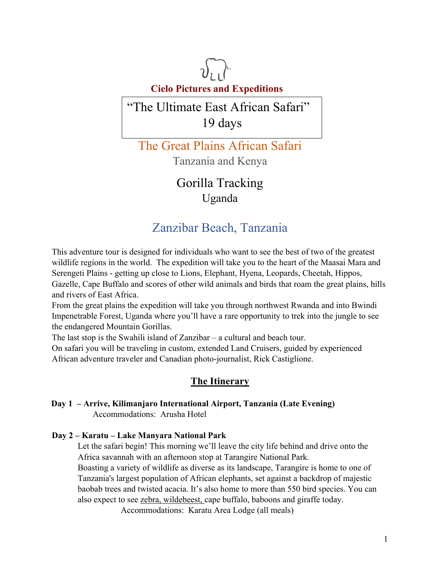

# "The Ultimate East African Safari" 19 days

The Great Plains African Safari Tanzania and Kenya

> Gorilla Tracking Uganda

## Zanzibar Beach, Tanzania

This adventure tour is designed for individuals who want to see the best of two of the greatest wildlife regions in the world. The expedition will take you to the heart of the Maasai Mara and Serengeti Plains - getting up close to Lions, Elephant, Hyena, Leopards, Cheetah, Hippos, Gazelle, Cape Buffalo and scores of other wild animals and birds that roam the great plains, hills and rivers of East Africa.

From the great plains the expedition will take you through northwest Rwanda and into Bwindi Impenetrable Forest, Uganda where you'll have a rare opportunity to trek into the jungle to see the endangered Mountain Gorillas.

The last stop is the Swahili island of Zanzibar – a cultural and beach tour.

On safari you will be traveling in custom, extended Land Cruisers, guided by experienced African adventure traveler and Canadian photo-journalist, Rick Castiglione.

## **The Itinerary**

## **Day 1 – Arrive, Kilimanjaro International Airport, Tanzania (Late Evening)**  Accommodations: Arusha Hotel

## **Day 2 – Karatu – Lake Manyara National Park**

Let the safari begin! This morning we'll leave the city life behind and drive onto the Africa savannah with an afternoon stop at Tarangire National Park.

Boasting a variety of wildlife as diverse as its landscape, Tarangire is home to one of Tanzania's largest population of African elephants, set against a backdrop of majestic baobab trees and twisted acacia. It's also home to more than 550 bird species. You can also expect to see zebra, wildebeest, cape buffalo, baboons and giraffe today.

Accommodations: Karatu Area Lodge (all meals)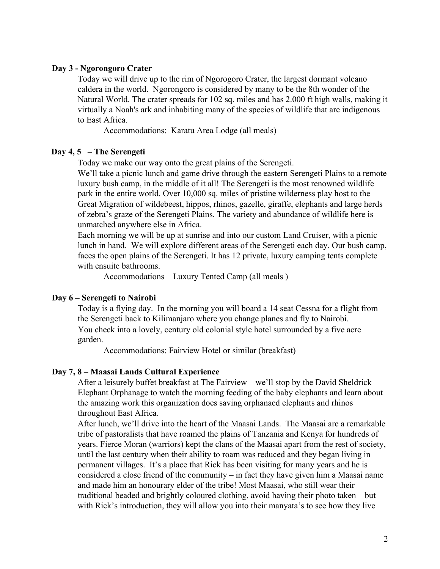#### **Day 3 - Ngorongoro Crater**

Today we will drive up to the rim of Ngorogoro Crater, the largest dormant volcano caldera in the world. Ngorongoro is considered by many to be the 8th wonder of the Natural World. The crater spreads for 102 sq. miles and has 2.000 ft high walls, making it virtually a Noah's ark and inhabiting many of the species of wildlife that are indigenous to East Africa.

Accommodations: Karatu Area Lodge (all meals)

#### **Day 4, 5 – The Serengeti**

Today we make our way onto the great plains of the Serengeti.

We'll take a picnic lunch and game drive through the eastern Serengeti Plains to a remote luxury bush camp, in the middle of it all! The Serengeti is the most renowned wildlife park in the entire world. Over 10,000 sq. miles of pristine wilderness play host to the Great Migration of wildebeest, hippos, rhinos, gazelle, giraffe, elephants and large herds of zebra's graze of the Serengeti Plains. The variety and abundance of wildlife here is unmatched anywhere else in Africa.

Each morning we will be up at sunrise and into our custom Land Cruiser, with a picnic lunch in hand. We will explore different areas of the Serengeti each day. Our bush camp, faces the open plains of the Serengeti. It has 12 private, luxury camping tents complete with ensuite bathrooms.

Accommodations – Luxury Tented Camp (all meals )

#### **Day 6 – Serengeti to Nairobi**

Today is a flying day. In the morning you will board a 14 seat Cessna for a flight from the Serengeti back to Kilimanjaro where you change planes and fly to Nairobi. You check into a lovely, century old colonial style hotel surrounded by a five acre garden.

Accommodations: Fairview Hotel or similar (breakfast)

#### **Day 7, 8 – Maasai Lands Cultural Experience**

After a leisurely buffet breakfast at The Fairview – we'll stop by the David Sheldrick Elephant Orphanage to watch the morning feeding of the baby elephants and learn about the amazing work this organization does saving orphanaed elephants and rhinos throughout East Africa.

After lunch, we'll drive into the heart of the Maasai Lands. The Maasai are a remarkable tribe of pastoralists that have roamed the plains of Tanzania and Kenya for hundreds of years. Fierce Moran (warriors) kept the clans of the Maasai apart from the rest of society, until the last century when their ability to roam was reduced and they began living in permanent villages. It's a place that Rick has been visiting for many years and he is considered a close friend of the community – in fact they have given him a Maasai name and made him an honourary elder of the tribe! Most Maasai, who still wear their traditional beaded and brightly coloured clothing, avoid having their photo taken – but with Rick's introduction, they will allow you into their manyata's to see how they live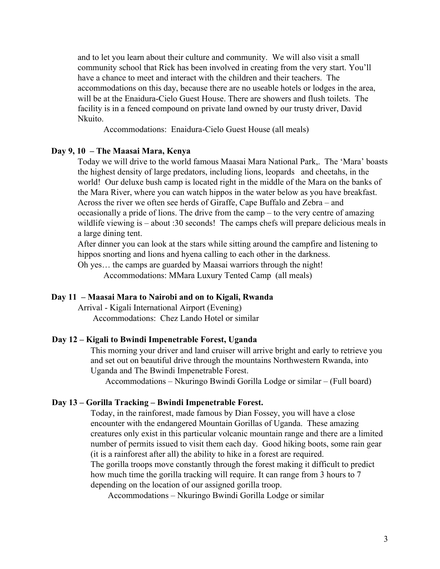and to let you learn about their culture and community. We will also visit a small community school that Rick has been involved in creating from the very start. You'll have a chance to meet and interact with the children and their teachers. The accommodations on this day, because there are no useable hotels or lodges in the area, will be at the Enaidura-Cielo Guest House. There are showers and flush toilets. The facility is in a fenced compound on private land owned by our trusty driver, David Nkuito.

Accommodations: Enaidura-Cielo Guest House (all meals)

#### **Day 9, 10 – The Maasai Mara, Kenya**

Today we will drive to the world famous Maasai Mara National Park,. The 'Mara' boasts the highest density of large predators, including lions, leopards and cheetahs, in the world! Our deluxe bush camp is located right in the middle of the Mara on the banks of the Mara River, where you can watch hippos in the water below as you have breakfast. Across the river we often see herds of Giraffe, Cape Buffalo and Zebra – and occasionally a pride of lions. The drive from the camp – to the very centre of amazing wildlife viewing is – about :30 seconds! The camps chefs will prepare delicious meals in a large dining tent.

After dinner you can look at the stars while sitting around the campfire and listening to hippos snorting and lions and hyena calling to each other in the darkness.

Oh yes… the camps are guarded by Maasai warriors through the night! Accommodations: MMara Luxury Tented Camp (all meals)

#### **Day 11 – Maasai Mara to Nairobi and on to Kigali, Rwanda**

Arrival - Kigali International Airport (Evening) Accommodations: Chez Lando Hotel or similar

#### **Day 12 – Kigali to Bwindi Impenetrable Forest, Uganda**

This morning your driver and land cruiser will arrive bright and early to retrieve you and set out on beautiful drive through the mountains Northwestern Rwanda, into Uganda and The Bwindi Impenetrable Forest.

Accommodations – Nkuringo Bwindi Gorilla Lodge or similar – (Full board)

#### **Day 13 – Gorilla Tracking – Bwindi Impenetrable Forest.**

Today, in the rainforest, made famous by Dian Fossey, you will have a close encounter with the endangered Mountain Gorillas of Uganda. These amazing creatures only exist in this particular volcanic mountain range and there are a limited number of permits issued to visit them each day. Good hiking boots, some rain gear (it is a rainforest after all) the ability to hike in a forest are required. The gorilla troops move constantly through the forest making it difficult to predict how much time the gorilla tracking will require. It can range from 3 hours to 7 depending on the location of our assigned gorilla troop.

Accommodations – Nkuringo Bwindi Gorilla Lodge or similar